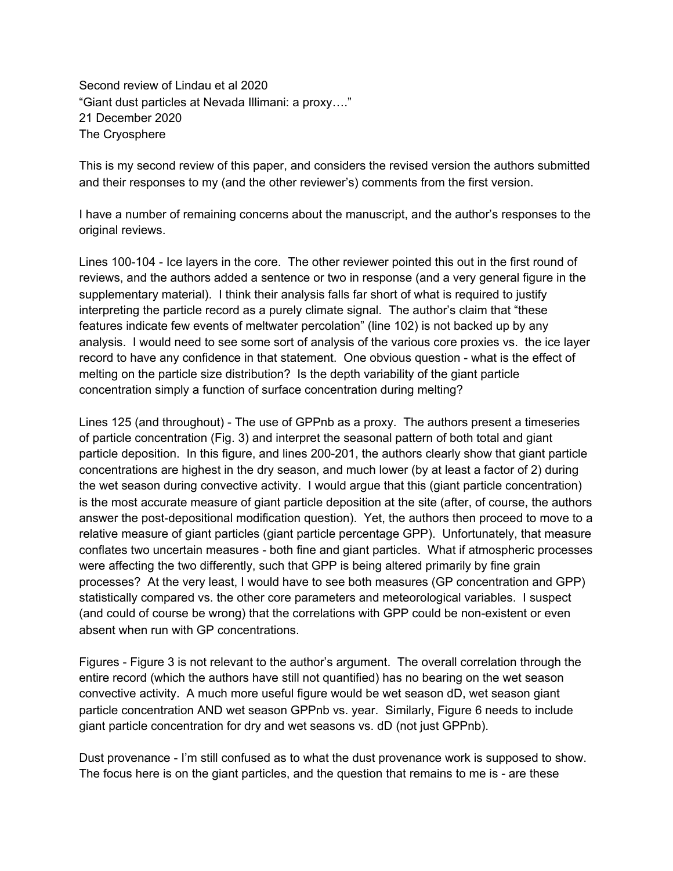Second review of Lindau et al 2020 "Giant dust particles at Nevada Illimani: a proxy…." 21 December 2020 The Cryosphere

This is my second review of this paper, and considers the revised version the authors submitted and their responses to my (and the other reviewer's) comments from the first version.

I have a number of remaining concerns about the manuscript, and the author's responses to the original reviews.

Lines 100-104 - Ice layers in the core. The other reviewer pointed this out in the first round of reviews, and the authors added a sentence or two in response (and a very general figure in the supplementary material). I think their analysis falls far short of what is required to justify interpreting the particle record as a purely climate signal. The author's claim that "these features indicate few events of meltwater percolation" (line 102) is not backed up by any analysis. I would need to see some sort of analysis of the various core proxies vs. the ice layer record to have any confidence in that statement. One obvious question - what is the effect of melting on the particle size distribution? Is the depth variability of the giant particle concentration simply a function of surface concentration during melting?

Lines 125 (and throughout) - The use of GPPnb as a proxy. The authors present a timeseries of particle concentration (Fig. 3) and interpret the seasonal pattern of both total and giant particle deposition. In this figure, and lines 200-201, the authors clearly show that giant particle concentrations are highest in the dry season, and much lower (by at least a factor of 2) during the wet season during convective activity. I would argue that this (giant particle concentration) is the most accurate measure of giant particle deposition at the site (after, of course, the authors answer the post-depositional modification question). Yet, the authors then proceed to move to a relative measure of giant particles (giant particle percentage GPP). Unfortunately, that measure conflates two uncertain measures - both fine and giant particles. What if atmospheric processes were affecting the two differently, such that GPP is being altered primarily by fine grain processes? At the very least, I would have to see both measures (GP concentration and GPP) statistically compared vs. the other core parameters and meteorological variables. I suspect (and could of course be wrong) that the correlations with GPP could be non-existent or even absent when run with GP concentrations.

Figures - Figure 3 is not relevant to the author's argument. The overall correlation through the entire record (which the authors have still not quantified) has no bearing on the wet season convective activity. A much more useful figure would be wet season dD, wet season giant particle concentration AND wet season GPPnb vs. year. Similarly, Figure 6 needs to include giant particle concentration for dry and wet seasons vs. dD (not just GPPnb).

Dust provenance - I'm still confused as to what the dust provenance work is supposed to show. The focus here is on the giant particles, and the question that remains to me is - are these